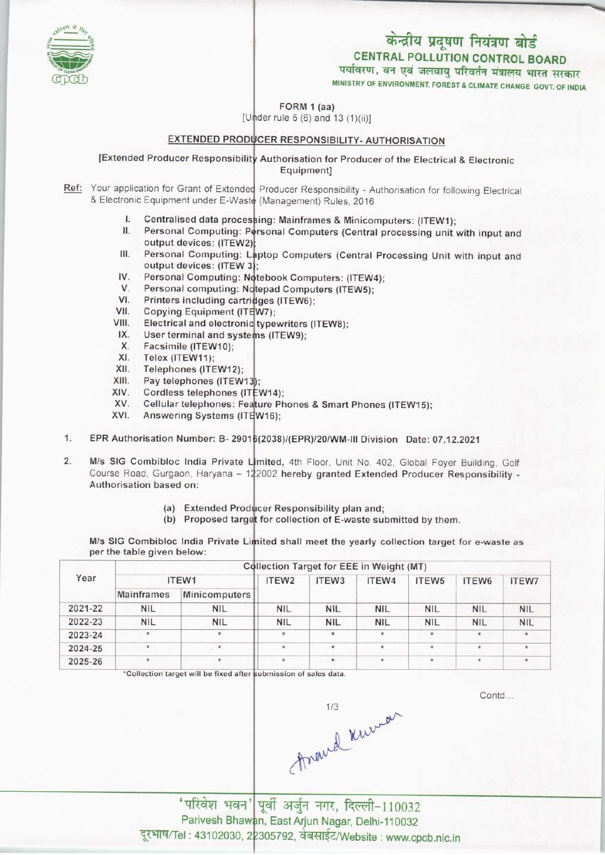### केन्द्रीय प्रदूषण नियंत्रण बोर्ड CENTRAL POLLUTION CONTROL BOARD पर्यावरण, वन एवं जलवायु परिवर्तन मंत्रालय भारत सरकार

MINISTRY OF ENVIRONMENT, FOREST & CLIMATE CHANGE GOVT. OF INDIA

FORM 1 (aa)

 $[Under rule 5 (6) and 13 (1)(ii)]$ 

# EXTENDED PRODUCER RESPONSIBILITY- AUTHORISATION

[Extended Producer Responsibility Authorisation for Producer of the Electrical & Electronic Equipment]

- Ref: Your application for Grant of Extended Producer Responsibility Authorisation for following Electrica & Electronic Equipment under E-Waste<br>
I. Centralised data processing: Mainframes & Minico<br>
I. Personal Computing: Personal Computer (Carty
	- Centralised data processing: Mainframes & Minicomputers: (ITEW1);
	- I. Centralised data processing: Mainframes & Minicomputers: (ITEW1);<br>II. Personal Computing: Personal Computers (Central processing unit with input and II. Personal Computing: Personal Computers (Central processing unit with input and<br>
	output devices: (ITEW2);<br>
	III. Personal Computing: Laptop Computers (Central Processing Unit with input and<br>
	output devices: (ITEW 3); output devices: (ITEW2):
	- III. Personal Computing: Laptop Computers (Central Proutput devices: (ITEW 3);<br>IV. Personal Computing: Notebook Computers: (ITEW4);<br>V. Personal computing: Notebook Computers: (ITEW4); output devices: (ITEW 3):
	- output devices: (ITEW 3);<br>V. Personal Computing: Notebook Computers: (ITEW<br>V. Personal computing: Notepad Computers (ITEW5);
	- IV. Personal Computing: N<br>V. Personal computing: N<br>VI. Printers including cartr<br>/II. Conving Equipment (IT
	- Printers including cartridges (ITEW6); v. Personal computing: Notepa<br>VII. Printers including cartridges<br>VII. Copying Equipment (ITEW7)<br>VIII. Electrical and electronic type
	-
	- typewriters (ITEW8); VI. Printers including cartri<br>VII. Copying Equipment (ITE<br>VIII. Electrical and electronic III. Copying Equipment (IT)<br>IX. User terminal and syste<br>X. Eassimile (ITEW10) VIII. Electrical and electron<br>IX. User terminal and sy<br>X. Facsimile (ITEW10);<br>XI. Telex (ITEW11):
	- User terminal and systems (ITEW9);
	-
	- XI. Telex (ITEW11);<br>XII. Telephones (ITE
	- XII. Telephones (ITEW12);<br>XIII. Pav telephones (ITEW)
	- XI. Felex (FEW11);<br>XII. Telephones (ITEW12);<br>XIII. Pay telephones (ITEW1;<br>XIV. Cordiess telephones (IT
	- W14); XII. Felephones (ITEW12);<br>XIII. Pay telephones (ITEW1:<br>XIV. Cordless telephones (IT XIII. Pay telephones (ITEWT.<br>XIV. Cordless telephones: Fe:<br>XV. Cellular telephones: Fe:
	- Cellular telephones: Feature Phones & Smart Phones (ITEW15);
	- XIV. Cordiess telephones (ITEW14)<br>XV. Cellular telephones: Feature P<br>XVI. Answering Systems (ITEW16);
- XVI. Answering Systems (ITEW16);<br>1. EPR Authorisation Number: B-29016(2038)/(EPR)/20/WM-III Division Date: 07.12.2021
- M/s SIG Combibloc India Private Limited, 4th Floor, Unit No. 402, Global Foyer Building, Golf wis Sig Combibioc India Private Limited, 4th Floor, Unit No. 402, Global Foyer Building, Golf<br>Course Road, Gurgaon, Haryana – 122002 h<mark>ereby granted Extended Producer Responsibility</mark> -1. **EPR Authorisation Number: B-29**<br>2. **M/s SIG Combibloc India Private**<br>Course Road Gurgaon Harvana – Authorisation based on:
	- (a) Extended Producer Responsibility plan and;
	- (a) Extended Producer Responsibility plan and;<br>(b) Proposed target for collection of E-waste submitted by them.

M/s SIG Combibloc India Private Limited shall meet the yearly collection target for e-waste as per the table given below:

| Year    | <b>Collection Target for EEE in Weight (MT)</b> |               |                   |                   |            |                    |            |              |  |  |
|---------|-------------------------------------------------|---------------|-------------------|-------------------|------------|--------------------|------------|--------------|--|--|
|         |                                                 | ITEW1         | ITEW <sub>2</sub> | ITEW <sub>3</sub> | ITEW4      | ITEW5              | ITEW6      | <b>ITEW7</b> |  |  |
|         | <b>Mainframes</b>                               | Minicomputers |                   |                   |            |                    |            |              |  |  |
| 2021-22 | <b>NIL</b>                                      | <b>NIL</b>    | <b>NIL</b>        | <b>NIL</b>        | <b>NIL</b> | <b>NIL</b>         | <b>NIL</b> | <b>NIL</b>   |  |  |
| 2022-23 | <b>NIL</b>                                      | <b>NIL</b>    | <b>NIL</b>        | <b>NIL</b>        | <b>NIL</b> | <b>NIL</b>         | <b>NIL</b> | <b>NIL</b>   |  |  |
| 2023-24 | $\star$                                         | $\star$       | $\star$           | $\star$           | $\star$    | $\star$            | $\star$    |              |  |  |
| 2024-25 | ٠                                               | $\star$       | ¥.                | $\star$           | ÷.         | $\frac{1}{2}$      | ×.         |              |  |  |
| 2025-26 |                                                 | $\star$       | $\star$           | $\star$           | $\star$    | $\bar{\mathbf{x}}$ | $\star$    |              |  |  |

\*Collection target will be fixed after submission of sales data.

Contd...

frand knumar

'परिवेश भवन' पूर्वी अर्जुन नगर, दिल्ली-110032 Parivesh Bhawan, East Arjun Nagar, Delhi-110032 : 43102030, 22305792, वेबसाईट/Website : www.cpcb.nic.in

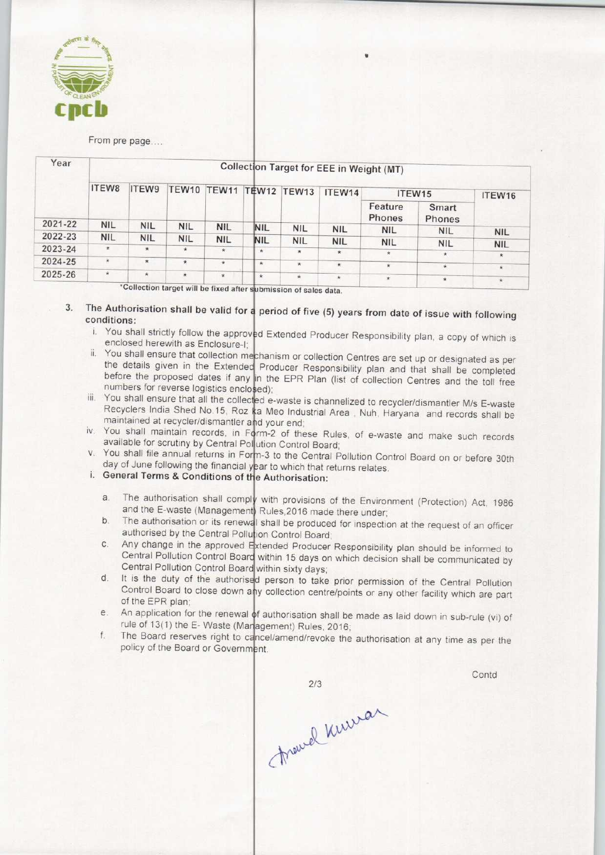

#### From pre page....

| Year    | Collection Target for EEE in Weight (MT) |                    |                    |            |            |               |            |                   |                 |            |
|---------|------------------------------------------|--------------------|--------------------|------------|------------|---------------|------------|-------------------|-----------------|------------|
|         | ITEW8                                    | ITEW9              | <b>TEW10</b>       | TEW11      |            | TEW12 TEW13   | ITEW14     | ITEW15            |                 | ITEW16     |
|         |                                          |                    |                    |            |            |               |            | Feature<br>Phones | Smart<br>Phones |            |
| 2021-22 | NIL.                                     | <b>NIL</b>         | <b>NIL</b>         | <b>NIL</b> | <b>NIL</b> | <b>NIL</b>    | <b>NIL</b> | <b>NIL</b>        | <b>NIL</b>      | <b>NIL</b> |
| 2022-23 | <b>NIL</b>                               | <b>NIL</b>         | <b>NIL</b>         | <b>NIL</b> | <b>NIL</b> | <b>NIL</b>    | <b>NIL</b> | <b>NIL</b>        |                 |            |
| 2023-24 | $\star$                                  | $\star$            | ∗                  | $\star$    | $\star$    | $\star$       |            |                   | <b>NIL</b>      | <b>NIL</b> |
|         |                                          |                    |                    |            |            |               | $\star$    | $\star$           | $\star$         | $\star$    |
| 2024-25 | $\star$                                  | $\star$            | $\hat{\mathbf{x}}$ | $\star$    | $\star$    | $\mathcal{H}$ | $\star$    | $\star$           | $\star$         | $\star$    |
| 2025-26 | $\star$                                  | $\dot{\mathbf{x}}$ | $\star$            | $\star$    | $\star$    | $\star$       | $\star$    | $\star$           | $\star$         |            |

after submission of sales data. 'Collection target will be fixed after

3. The Authorisation shall be valid for a period of five (5) years from date of issue with following conditions:

- i. You shall strictly follow the approved Extended Producer Responsibility plan, a copy of which is enclosed herewith as Enclosure-I;
- ii. You shall ensure that collection mechanism or collection Centres are set up or designated as per the details given in the Extended Producer Responsibility plan and that shall be completed before the proposed dates if any in the EPR Plan (list of collection Centres and the toll free numbers for reverse logistics enclosed);
- frambers for reverse logistics enclosed);<br>iii. You shall ensure that all the collected e-waste is channelized to recycler/dismantler M/s E-waste Recyclers India Shed No.15, Roz ka Meo Industrial Area, Nuh, Haryana and records shall be maintained at recycler/dismantler and your end
- iv. You shall maintain records, in Form-2 of these Rules, of e-waste and make such records available for scrutiny by Central Pollution Control Board
- v. You shall file annual returns in Form-3 to the Central Pollution Control Board on or before 30th day of June following the financial year to which that returns relates.

## Let us of state following the inflational year to write that

- existed ferms a conditions of the Authorisation:<br>a. The authorisation shall comply with provisions of the Environment (Protection) Act, 1986 and the E-waste (Management) Rules, 2016 made there under shall be provisions of the Environment (Protection) Act, 1986<br>and the E-waste (Management) Rules, 2016 made there under;<br>b. The authorisation or its renewal shall be produced for inspection at the request of an officer
- authorised by the Central Pollution Control Board International of the Heleward Shall be produced for inspection at the request of an officer<br>authorised by the Central Pollution Control Board;<br>C. Any change in the approved Extended Producer Responsibility plan should be i
- Central Pollution Control Board within 15 days on which decision shall be communicated by Central Pollution Control Board within sixty days Central Pollution Control Board within 15 days on which decision shall be communicated by<br>Central Pollution Control Board within sixty days;<br>d. It is the duty of the authorised person to take prior permission of the Centra
- Control Board to close down any collection centre/points or any other facility which are part f authorisation shall be made as laid down in sub-rule (vi) of<br>e. An application for the renewal of authorisation shall be made as laid down in sub-rule (vi) of of the EPR plan;
- rule of 13(1) the E- Waste (Management) Rules, 2016 E. An application for the renewal of authorisation shall be made as laid down in sub-rule (vi) of rule of 13(1) the E-Waste (Management) Rules, 2016;<br>f. The Board reserves right to cancel/amend/revoke the authorisation at
- policy of the Board or Government.

Contd

 $2/3$ France Kuman